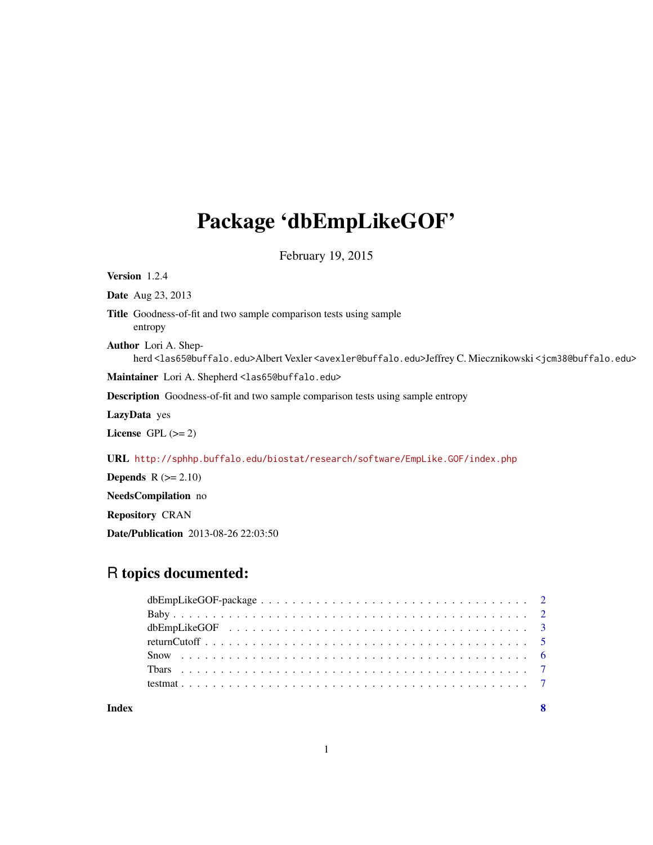## Package 'dbEmpLikeGOF'

February 19, 2015

Version 1.2.4 Date Aug 23, 2013 Title Goodness-of-fit and two sample comparison tests using sample entropy Author Lori A. Shepherd <las65@buffalo.edu>Albert Vexler <avexler@buffalo.edu>Jeffrey C. Miecznikowski <jcm38@buffalo.edu> Maintainer Lori A. Shepherd <las65@buffalo.edu> Description Goodness-of-fit and two sample comparison tests using sample entropy LazyData yes License GPL  $(>= 2)$ URL <http://sphhp.buffalo.edu/biostat/research/software/EmpLike.GOF/index.php> **Depends**  $R$  ( $>= 2.10$ ) NeedsCompilation no Repository CRAN

### R topics documented:

Date/Publication 2013-08-26 22:03:50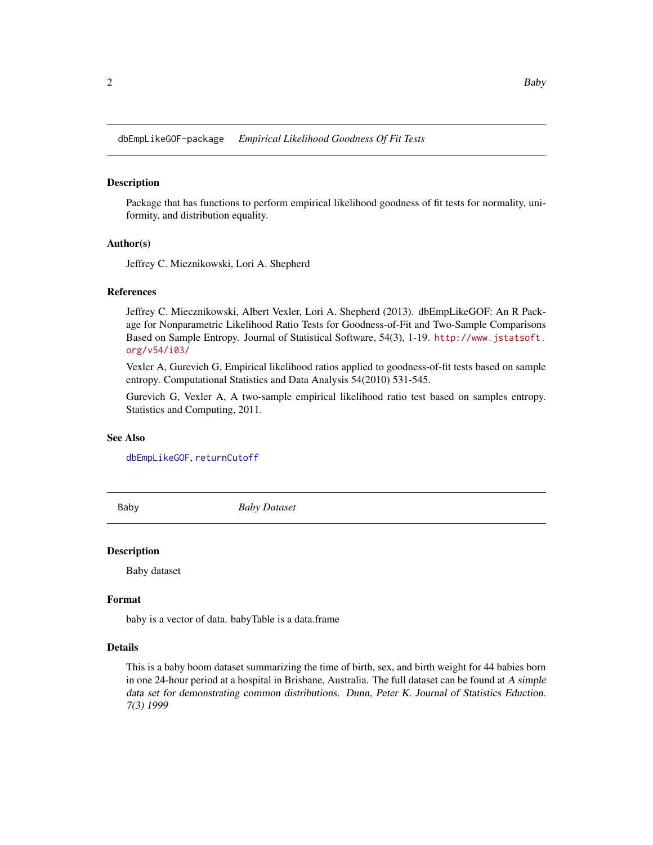<span id="page-1-0"></span>dbEmpLikeGOF-package *Empirical Likelihood Goodness Of Fit Tests*

#### **Description**

Package that has functions to perform empirical likelihood goodness of fit tests for normality, uniformity, and distribution equality.

#### Author(s)

Jeffrey C. Mieznikowski, Lori A. Shepherd

#### References

Jeffrey C. Miecznikowski, Albert Vexler, Lori A. Shepherd (2013). dbEmpLikeGOF: An R Package for Nonparametric Likelihood Ratio Tests for Goodness-of-Fit and Two-Sample Comparisons Based on Sample Entropy. Journal of Statistical Software, 54(3), 1-19. [http://www.jstatsoft.](http://www.jstatsoft.org/v54/i03/) [org/v54/i03/](http://www.jstatsoft.org/v54/i03/)

Vexler A, Gurevich G, Empirical likelihood ratios applied to goodness-of-fit tests based on sample entropy. Computational Statistics and Data Analysis 54(2010) 531-545.

Gurevich G, Vexler A, A two-sample empirical likelihood ratio test based on samples entropy. Statistics and Computing, 2011.

#### See Also

[dbEmpLikeGOF](#page-2-1), [returnCutoff](#page-4-1)

Baby *Baby Dataset*

#### Description

Baby dataset

#### Format

baby is a vector of data. babyTable is a data.frame

#### Details

This is a baby boom dataset summarizing the time of birth, sex, and birth weight for 44 babies born in one 24-hour period at a hospital in Brisbane, Australia. The full dataset can be found at A simple data set for demonstrating common distributions. Dunn, Peter K. Journal of Statistics Eduction. 7(3) 1999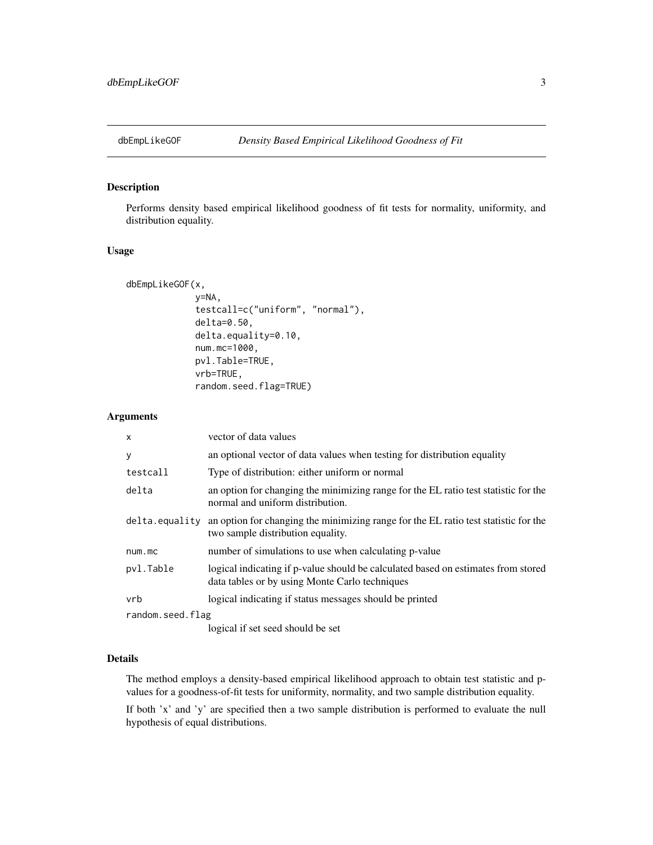<span id="page-2-1"></span><span id="page-2-0"></span>

#### Description

Performs density based empirical likelihood goodness of fit tests for normality, uniformity, and distribution equality.

#### Usage

```
dbEmpLikeGOF(x,
             y=NA,
             testcall=c("uniform", "normal"),
             delta=0.50,
             delta.equality=0.10,
             num.mc=1000,
             pvl.Table=TRUE,
             vrb=TRUE,
             random.seed.flag=TRUE)
```
#### Arguments

| $\times$         | vector of data values                                                                                                               |
|------------------|-------------------------------------------------------------------------------------------------------------------------------------|
| y                | an optional vector of data values when testing for distribution equality                                                            |
| testcall         | Type of distribution: either uniform or normal                                                                                      |
| delta            | an option for changing the minimizing range for the EL ratio test statistic for the<br>normal and uniform distribution.             |
| delta.equality   | an option for changing the minimizing range for the EL ratio test statistic for the<br>two sample distribution equality.            |
| num.mc           | number of simulations to use when calculating p-value                                                                               |
| pvl.Table        | logical indicating if p-value should be calculated based on estimates from stored<br>data tables or by using Monte Carlo techniques |
| vrb              | logical indicating if status messages should be printed                                                                             |
| random.seed.flag |                                                                                                                                     |
|                  | 1.111.11                                                                                                                            |

logical if set seed should be set

#### Details

The method employs a density-based empirical likelihood approach to obtain test statistic and pvalues for a goodness-of-fit tests for uniformity, normality, and two sample distribution equality.

If both 'x' and 'y' are specified then a two sample distribution is performed to evaluate the null hypothesis of equal distributions.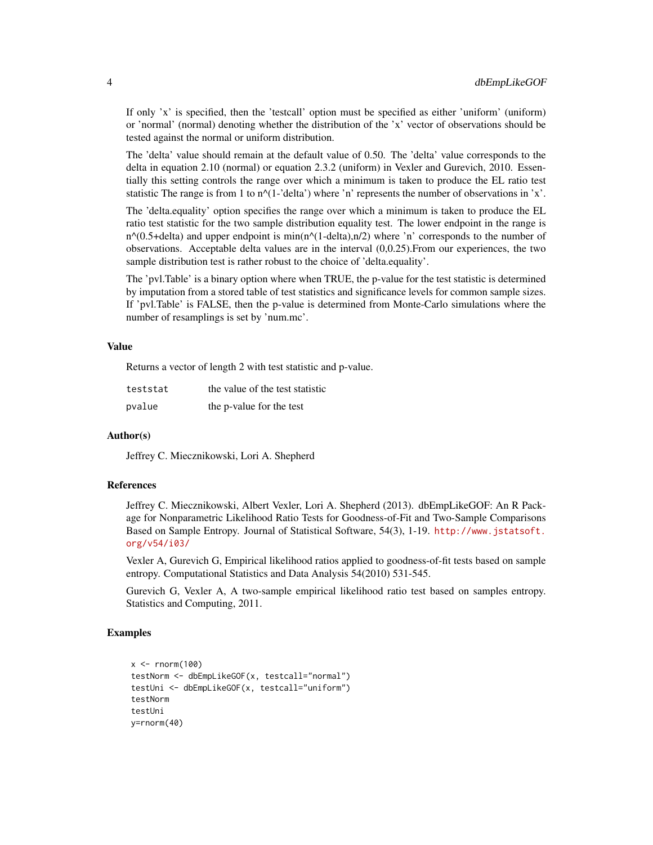If only 'x' is specified, then the 'testcall' option must be specified as either 'uniform' (uniform) or 'normal' (normal) denoting whether the distribution of the 'x' vector of observations should be tested against the normal or uniform distribution.

The 'delta' value should remain at the default value of 0.50. The 'delta' value corresponds to the delta in equation 2.10 (normal) or equation 2.3.2 (uniform) in Vexler and Gurevich, 2010. Essentially this setting controls the range over which a minimum is taken to produce the EL ratio test statistic The range is from 1 to  $n^{\prime}(1-\text{delta}')$  where 'n' represents the number of observations in 'x'.

The 'delta.equality' option specifies the range over which a minimum is taken to produce the EL ratio test statistic for the two sample distribution equality test. The lower endpoint in the range is  $n^{\wedge}(0.5+\text{delta})$  and upper endpoint is min(n $^{\wedge}(1-\text{delta})$ ,n/2) where 'n' corresponds to the number of observations. Acceptable delta values are in the interval (0,0.25).From our experiences, the two sample distribution test is rather robust to the choice of 'delta.equality'.

The 'pvl.Table' is a binary option where when TRUE, the p-value for the test statistic is determined by imputation from a stored table of test statistics and significance levels for common sample sizes. If 'pvl.Table' is FALSE, then the p-value is determined from Monte-Carlo simulations where the number of resamplings is set by 'num.mc'.

#### Value

Returns a vector of length 2 with test statistic and p-value.

| teststat | the value of the test statistic |
|----------|---------------------------------|
| pvalue   | the p-value for the test        |

#### Author(s)

Jeffrey C. Miecznikowski, Lori A. Shepherd

#### References

Jeffrey C. Miecznikowski, Albert Vexler, Lori A. Shepherd (2013). dbEmpLikeGOF: An R Package for Nonparametric Likelihood Ratio Tests for Goodness-of-Fit and Two-Sample Comparisons Based on Sample Entropy. Journal of Statistical Software, 54(3), 1-19. [http://www.jstatsoft.](http://www.jstatsoft.org/v54/i03/) [org/v54/i03/](http://www.jstatsoft.org/v54/i03/)

Vexler A, Gurevich G, Empirical likelihood ratios applied to goodness-of-fit tests based on sample entropy. Computational Statistics and Data Analysis 54(2010) 531-545.

Gurevich G, Vexler A, A two-sample empirical likelihood ratio test based on samples entropy. Statistics and Computing, 2011.

#### Examples

```
x < - rnorm(100)
testNorm <- dbEmpLikeGOF(x, testcall="normal")
testUni <- dbEmpLikeGOF(x, testcall="uniform")
testNorm
testUni
y=rnorm(40)
```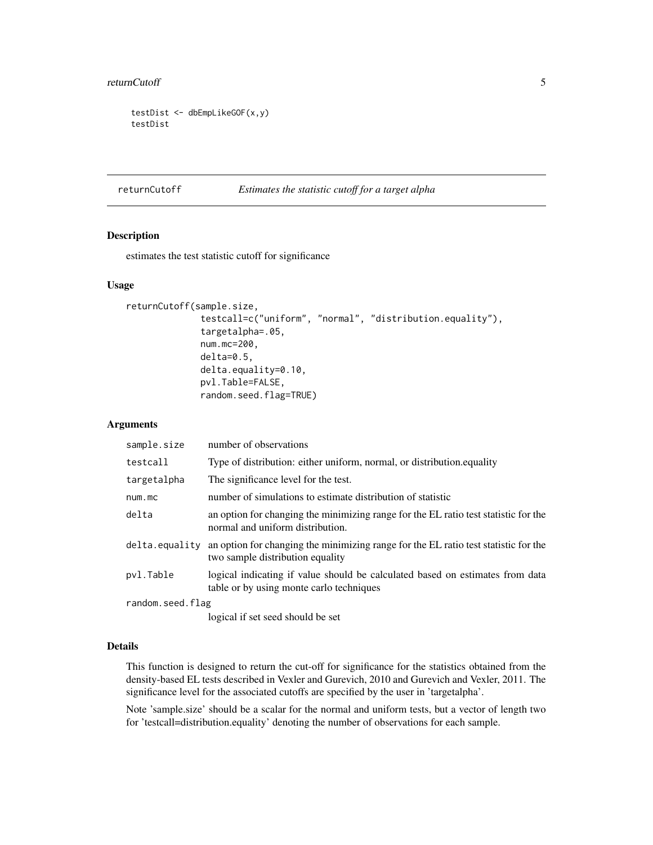#### <span id="page-4-0"></span>returnCutoff 5

```
testDist <- dbEmpLikeGOF(x,y)
testDist
```
<span id="page-4-1"></span>returnCutoff *Estimates the statistic cutoff for a target alpha*

#### Description

estimates the test statistic cutoff for significance

#### Usage

```
returnCutoff(sample.size,
              testcall=c("uniform", "normal", "distribution.equality"),
              targetalpha=.05,
              num.mc=200,
              delta=0.5,
              delta.equality=0.10,
              pvl.Table=FALSE,
              random.seed.flag=TRUE)
```
#### Arguments

| sample.size      | number of observations                                                                                                    |
|------------------|---------------------------------------------------------------------------------------------------------------------------|
| testcall         | Type of distribution: either uniform, normal, or distribution.equality                                                    |
| targetalpha      | The significance level for the test.                                                                                      |
| num.mc           | number of simulations to estimate distribution of statistic                                                               |
| delta            | an option for changing the minimizing range for the EL ratio test statistic for the<br>normal and uniform distribution.   |
| delta.equality   | an option for changing the minimizing range for the EL ratio test statistic for the<br>two sample distribution equality   |
| pvl.Table        | logical indicating if value should be calculated based on estimates from data<br>table or by using monte carlo techniques |
| random.seed.flag |                                                                                                                           |
|                  |                                                                                                                           |

logical if set seed should be set

#### Details

This function is designed to return the cut-off for significance for the statistics obtained from the density-based EL tests described in Vexler and Gurevich, 2010 and Gurevich and Vexler, 2011. The significance level for the associated cutoffs are specified by the user in 'targetalpha'.

Note 'sample.size' should be a scalar for the normal and uniform tests, but a vector of length two for 'testcall=distribution.equality' denoting the number of observations for each sample.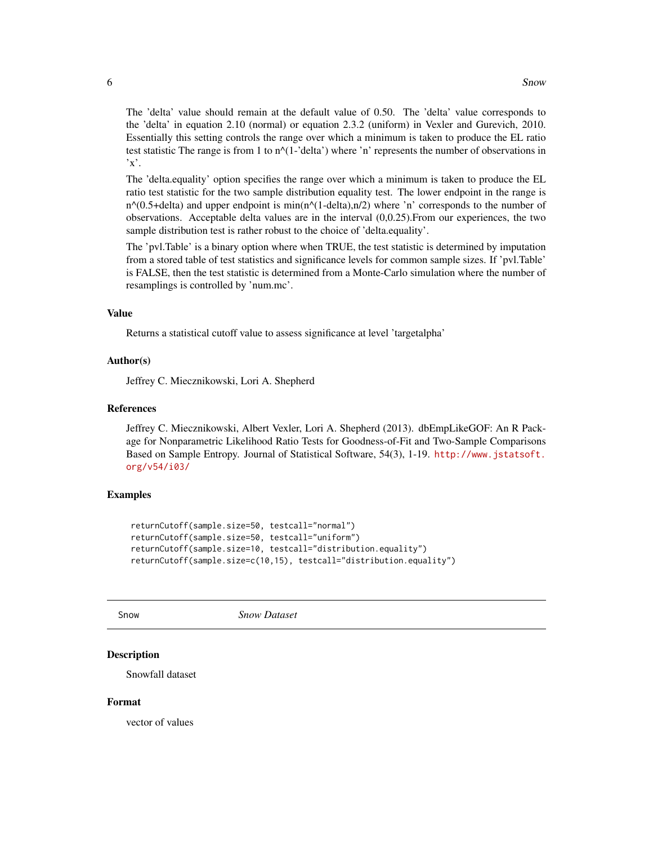<span id="page-5-0"></span>The 'delta' value should remain at the default value of 0.50. The 'delta' value corresponds to the 'delta' in equation 2.10 (normal) or equation 2.3.2 (uniform) in Vexler and Gurevich, 2010. Essentially this setting controls the range over which a minimum is taken to produce the EL ratio test statistic The range is from 1 to  $n^{\wedge}(1-\text{delta}')$  where 'n' represents the number of observations in  $x'.$ 

The 'delta.equality' option specifies the range over which a minimum is taken to produce the EL ratio test statistic for the two sample distribution equality test. The lower endpoint in the range is  $n^{\wedge}(0.5+\text{delta})$  and upper endpoint is min(n $^{\wedge}(1-\text{delta})$ ,n/2) where 'n' corresponds to the number of observations. Acceptable delta values are in the interval (0,0.25).From our experiences, the two sample distribution test is rather robust to the choice of 'delta.equality'.

The 'pvl.Table' is a binary option where when TRUE, the test statistic is determined by imputation from a stored table of test statistics and significance levels for common sample sizes. If 'pvl.Table' is FALSE, then the test statistic is determined from a Monte-Carlo simulation where the number of resamplings is controlled by 'num.mc'.

#### Value

Returns a statistical cutoff value to assess significance at level 'targetalpha'

#### Author(s)

Jeffrey C. Miecznikowski, Lori A. Shepherd

#### References

Jeffrey C. Miecznikowski, Albert Vexler, Lori A. Shepherd (2013). dbEmpLikeGOF: An R Package for Nonparametric Likelihood Ratio Tests for Goodness-of-Fit and Two-Sample Comparisons Based on Sample Entropy. Journal of Statistical Software, 54(3), 1-19. [http://www.jstatsoft.](http://www.jstatsoft.org/v54/i03/) [org/v54/i03/](http://www.jstatsoft.org/v54/i03/)

#### Examples

```
returnCutoff(sample.size=50, testcall="normal")
returnCutoff(sample.size=50, testcall="uniform")
returnCutoff(sample.size=10, testcall="distribution.equality")
returnCutoff(sample.size=c(10,15), testcall="distribution.equality")
```
Snow *Snow Dataset*

#### **Description**

Snowfall dataset

#### Format

vector of values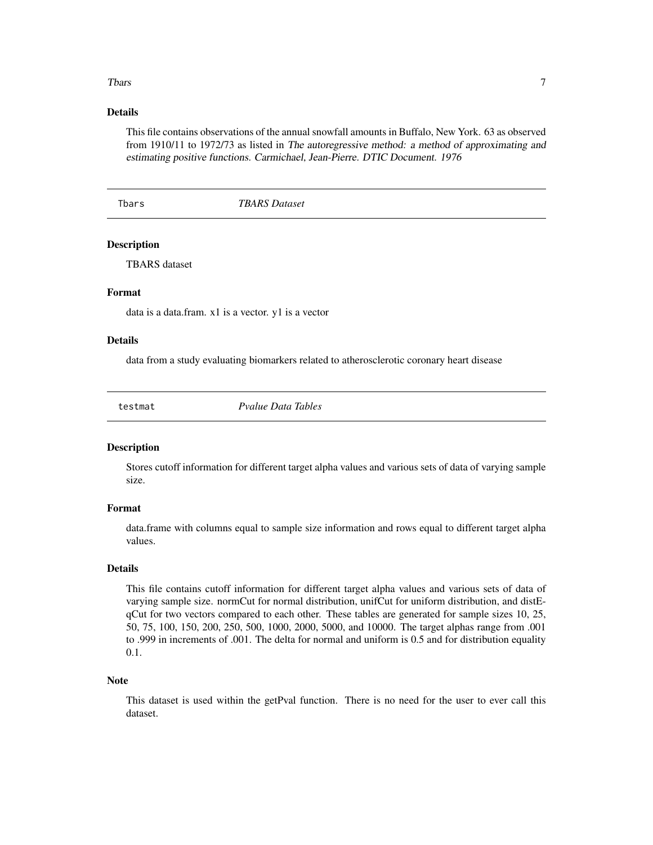#### <span id="page-6-0"></span>The Theory of the contract of the contract of the contract of the contract of the contract of the contract of the contract of the contract of the contract of the contract of the contract of the contract of the contract of

#### Details

This file contains observations of the annual snowfall amounts in Buffalo, New York. 63 as observed from 1910/11 to 1972/73 as listed in The autoregressive method: a method of approximating and estimating positive functions. Carmichael, Jean-Pierre. DTIC Document. 1976

Tbars *TBARS Dataset*

#### Description

TBARS dataset

#### Format

data is a data.fram. x1 is a vector. y1 is a vector

#### Details

data from a study evaluating biomarkers related to atherosclerotic coronary heart disease

testmat *Pvalue Data Tables*

#### **Description**

Stores cutoff information for different target alpha values and various sets of data of varying sample size.

#### Format

data.frame with columns equal to sample size information and rows equal to different target alpha values.

#### Details

This file contains cutoff information for different target alpha values and various sets of data of varying sample size. normCut for normal distribution, unifCut for uniform distribution, and distEqCut for two vectors compared to each other. These tables are generated for sample sizes 10, 25, 50, 75, 100, 150, 200, 250, 500, 1000, 2000, 5000, and 10000. The target alphas range from .001 to .999 in increments of .001. The delta for normal and uniform is 0.5 and for distribution equality 0.1.

#### Note

This dataset is used within the getPval function. There is no need for the user to ever call this dataset.